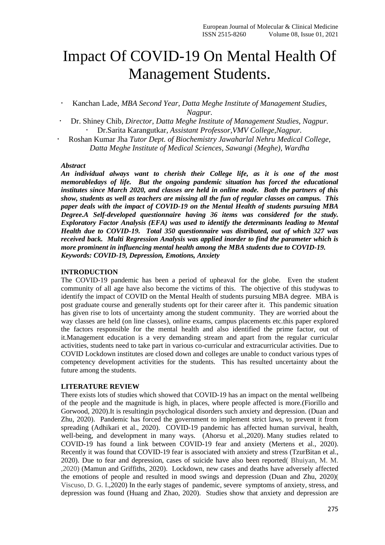# Impact Of COVID-19 On Mental Health Of Management Students.

- Kanchan Lade, *MBA Second Year, Datta Meghe Institute of Management Studies, Nagpur.*
- Dr. Shiney Chib*, Director, Datta Meghe Institute of Management Studies, Nagpur.* Dr.Sarita Karangutkar*, Assistant Professor,VMV College,Nagpur.*
- Roshan Kumar Jha *Tutor Dept. of Biochemistry Jawaharlal Nehru Medical College, Datta Meghe Institute of Medical Sciences, Sawangi (Meghe), Wardha*

#### *Abstract*

*An individual always want to cherish their College life, as it is one of the most memorabledays of life. But the ongoing pandemic situation has forced the educational institutes since March 2020, and classes are held in online mode. Both the partners of this show, students as well as teachers are missing all the fun of regular classes on campus. This paper deals with the impact of COVID-19 on the Mental Health of students pursuing MBA Degree.A Self-developed questionnaire having 36 items was considered for the study. Exploratory Factor Analysis (EFA) was used to identify the determinants leading to Mental Health due to COVID-19. Total 350 questionnaire was distributed, out of which 327 was received back. Multi Regression Analysis was applied inorder to find the parameter which is more prominent in influencing mental health among the MBA students due to COVID-19. Keywords: COVID-19, Depression, Emotions, Anxiety* 

#### **INTRODUCTION**

The COVID-19 pandemic has been a period of upheaval for the globe. Even the student community of all age have also become the victims of this. The objective of this studywas to identify the impact of COVID on the Mental Health of students pursuing MBA degree. MBA is post graduate course and generally students opt for their career after it. This pandemic situation has given rise to lots of uncertainty among the student community. They are worried about the way classes are held (on line classes), online exams, campus placements etc.this paper explored the factors responsible for the mental health and also identified the prime factor, out of it.Management education is a very demanding stream and apart from the regular curricular activities, students need to take part in various co-curricular and extracurricular activities. Due to COVID Lockdown institutes are closed down and colleges are unable to conduct various types of competency development activities for the students. This has resulted uncertainty about the future among the students.

#### **LITERATURE REVIEW**

There exists lots of studies which showed that COVID-19 has an impact on the mental wellbeing of the people and the magnitude is high, in places, where people affected is more.[\(Fiorillo and](https://www.frontiersin.org/articles/10.3389/fpsyg.2020.591797/full#ref17)  [Gorwood, 2020\)](https://www.frontiersin.org/articles/10.3389/fpsyg.2020.591797/full#ref17).It is resultingin psychological disorders such anxiety and depression. [\(Duan and](https://www.frontiersin.org/articles/10.3389/fpsyg.2020.591797/full#ref16)  [Zhu, 2020\)](https://www.frontiersin.org/articles/10.3389/fpsyg.2020.591797/full#ref16). Pandemic has forced the government to implement strict laws, to prevent it from spreading [\(Adhikari et al., 2020\)](https://www.frontiersin.org/articles/10.3389/fpsyg.2020.591797/full#ref1). COVID-19 pandemic has affected human survival, health, well-being, and development in many ways. [\(Ahorsu et al.,2020\).](https://www.frontiersin.org/articles/10.3389/fpsyg.2020.591797/full#ref3) Many studies related to COVID-19 has found a link between COVID-19 fear and anxiety [\(Mertens et al., 2020\)](https://www.frontiersin.org/articles/10.3389/fpsyg.2020.591797/full#ref37). Recently it was found that COVID-19 fear is associated with anxiety and stress [\(TzurBitan et al.,](https://www.frontiersin.org/articles/10.3389/fpsyg.2020.591797/full#ref62)  [2020\)](https://www.frontiersin.org/articles/10.3389/fpsyg.2020.591797/full#ref62). Due to fear and depression, cases of suicide have also been reported( Bhuiyan, M. M. ,2020) [\(Mamun and Griffiths, 2020\)](https://www.frontiersin.org/articles/10.3389/fpsyg.2020.591797/full#ref35). Lockdown, new cases and deaths have adversely affected the emotions of people and resulted in mood swings and depression [\(Duan and Zhu, 2020\)](https://www.frontiersin.org/articles/10.3389/fpsyg.2020.591797/full#ref16)( Viscuso, D. G. I.,2020) In the early stages of pandemic, severe symptoms of anxiety, stress, and depression was found [\(Huang and Zhao, 2020\)](https://www.frontiersin.org/articles/10.3389/fpsyg.2020.591797/full#ref26). Studies show that anxiety and depression are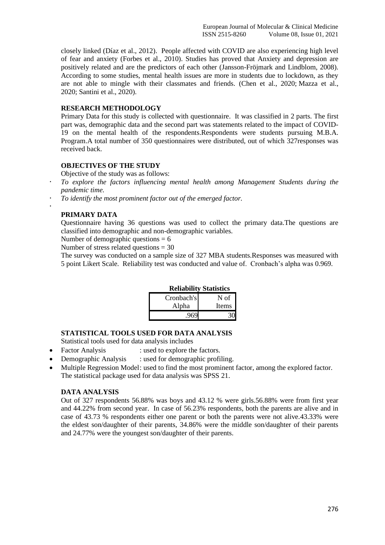closely linked [\(Díaz et al., 2012\)](https://www.frontiersin.org/articles/10.3389/fpsyg.2020.591797/full#ref14). People affected with COVID are also experiencing high level of fear and anxiety [\(Forbes et al., 2010\)](https://www.frontiersin.org/articles/10.3389/fpsyg.2020.591797/full#ref20). Studies has proved that Anxiety and depression are positively related and are the predictors of each other [\(Jansson-Fröjmark and Lindblom, 2008\)](https://www.frontiersin.org/articles/10.3389/fpsyg.2020.591797/full#ref29). According to some studies, mental health issues are more in students due to lockdown, as they are not able to mingle with their classmates and friends. [\(Chen et al., 2020;](https://www.frontiersin.org/articles/10.3389/fpsyg.2020.591797/full#ref10) [Mazza et al.,](https://www.frontiersin.org/articles/10.3389/fpsyg.2020.591797/full#ref36)  [2020;](https://www.frontiersin.org/articles/10.3389/fpsyg.2020.591797/full#ref36) [Santini et al., 2020\)](https://www.frontiersin.org/articles/10.3389/fpsyg.2020.591797/full#ref56).

# **RESEARCH METHODOLOGY**

Primary Data for this study is collected with questionnaire. It was classified in 2 parts. The first part was, demographic data and the second part was statements related to the impact of COVID-19 on the mental health of the respondents.Respondents were students pursuing M.B.A. Program.A total number of 350 questionnaires were distributed, out of which 327responses was received back.

# **OBJECTIVES OF THE STUDY**

Objective of the study was as follows:

- *To explore the factors influencing mental health among Management Students during the pandemic time.*
- *To identify the most prominent factor out of the emerged factor.*

# **PRIMARY DATA**

.

Questionnaire having 36 questions was used to collect the primary data.The questions are classified into demographic and non-demographic variables.

Number of demographic questions  $= 6$ 

Number of stress related questions  $= 30$ 

The survey was conducted on a sample size of 327 MBA students.Responses was measured with 5 point Likert Scale. Reliability test was conducted and value of. Cronbach's alpha was 0.969.

|            | Renadhity Statistics |
|------------|----------------------|
| Cronbach's | N of                 |
| Alpha      | Items                |
|            |                      |

# **Reliability Statistics**

## **STATISTICAL TOOLS USED FOR DATA ANALYSIS**

Statistical tools used for data analysis includes

- Factor Analysis : used to explore the factors.
- Demographic Analysis : used for demographic profiling.
- Multiple Regression Model: used to find the most prominent factor, among the explored factor. The statistical package used for data analysis was SPSS 21.

#### **DATA ANALYSIS**

Out of 327 respondents 56.88% was boys and 43.12 % were girls.56.88% were from first year and 44.22% from second year. In case of 56.23% respondents, both the parents are alive and in case of 43.73 % respondents either one parent or both the parents were not alive.43.33% were the eldest son/daughter of their parents, 34.86% were the middle son/daughter of their parents and 24.77% were the youngest son/daughter of their parents.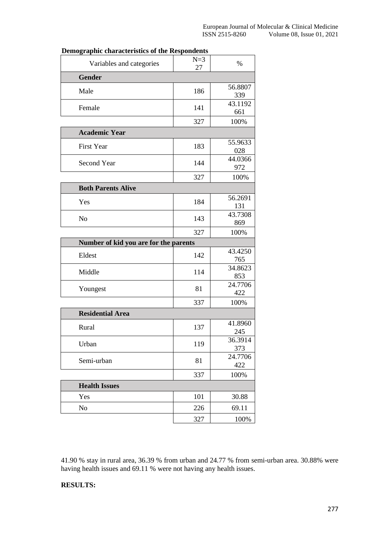| Variables and categories              | $N=3$<br>27 | %              |
|---------------------------------------|-------------|----------------|
| <b>Gender</b>                         |             |                |
| Male                                  | 186         | 56.8807<br>339 |
| Female                                | 141         | 43.1192<br>661 |
|                                       | 327         | 100%           |
| <b>Academic Year</b>                  |             |                |
| First Year                            | 183         | 55.9633<br>028 |
| Second Year                           | 144         | 44.0366<br>972 |
|                                       | 327         | 100%           |
| <b>Both Parents Alive</b>             |             |                |
| Yes                                   | 184         | 56.2691<br>131 |
| N <sub>o</sub>                        | 143         | 43.7308<br>869 |
|                                       | 327         | 100%           |
| Number of kid you are for the parents |             |                |
| Eldest                                | 142         | 43.4250<br>765 |
| Middle                                | 114         | 34.8623<br>853 |
| Youngest                              | 81          | 24.7706<br>422 |
|                                       | 337         | 100%           |
| <b>Residential Area</b>               |             |                |
| Rural                                 | 137         | 41.8960<br>245 |
| Urban                                 | 119         | 36.3914<br>373 |
| Semi-urban                            | 81          | 24.7706<br>422 |
|                                       | 337         | 100%           |
| <b>Health Issues</b>                  |             |                |
| Yes                                   | 101         | 30.88          |
| N <sub>o</sub>                        | 226         | 69.11          |
|                                       | 327         | 100%           |

# **Demographic characteristics of the Respondents**

41.90 % stay in rural area, 36.39 % from urban and 24.77 % from semi-urban area. 30.88% were having health issues and 69.11 % were not having any health issues.

## **RESULTS:**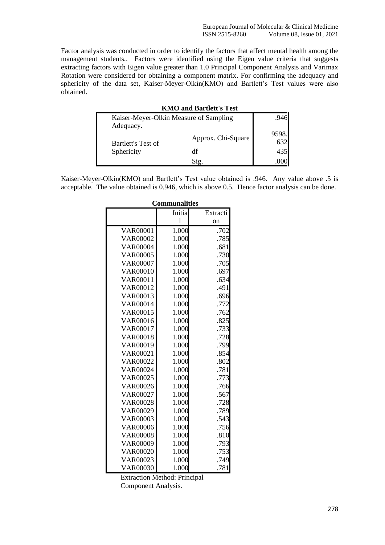Factor analysis was conducted in order to identify the factors that affect mental health among the management students.. Factors were identified using the Eigen value criteria that suggests extracting factors with Eigen value greater than 1.0 Principal Component Analysis and Varimax Rotation were considered for obtaining a component matrix. For confirming the adequacy and sphericity of the data set, Kaiser-Meyer-Olkin(KMO) and Bartlett's Test values were also obtained.

| <b>KMO and Bartlett's Test</b>                      |                    |              |  |  |
|-----------------------------------------------------|--------------------|--------------|--|--|
| Kaiser-Meyer-Olkin Measure of Sampling<br>Adequacy. |                    | .946         |  |  |
| Bartlett's Test of                                  | Approx. Chi-Square | 9598.<br>632 |  |  |
| Sphericity                                          | df                 | 435          |  |  |
|                                                     | Sig.               |              |  |  |

Kaiser-Meyer-Olkin(KMO) and Bartlett's Test value obtained is .946. Any value above .5 is acceptable. The value obtained is 0.946, which is above 0.5. Hence factor analysis can be done.

|                 | Communalities  |          |
|-----------------|----------------|----------|
|                 | Initia         | Extracti |
|                 | $\overline{1}$ | on       |
| <b>VAR00001</b> | 1.000          | .702     |
| <b>VAR00002</b> | 1.000          | .785     |
| <b>VAR00004</b> | 1.000          | .681     |
| <b>VAR00005</b> | 1.000          | .730     |
| <b>VAR00007</b> | 1.000          | .705     |
| <b>VAR00010</b> | 1.000          | .697     |
| VAR00011        | 1.000          | .634     |
| VAR00012        | 1.000          | .491     |
| VAR00013        | 1.000          | .696     |
| VAR00014        | 1.000          | .772     |
| VAR00015        | 1.000          | .762     |
| <b>VAR00016</b> | 1.000          | .825     |
| VAR00017        | 1.000          | .733     |
| <b>VAR00018</b> | 1.000          | .728     |
| VAR00019        | 1.000          | .799     |
| <b>VAR00021</b> | 1.000          | .854     |
| <b>VAR00022</b> | 1.000          | .802     |
| <b>VAR00024</b> | 1.000          | .781     |
| <b>VAR00025</b> | 1.000          | .773     |
| <b>VAR00026</b> | 1.000          | .766     |
| <b>VAR00027</b> | 1.000          | .567     |
| <b>VAR00028</b> | 1.000          | .728     |
| VAR00029        | 1.000          | .789     |
| <b>VAR00003</b> | 1.000          | .543     |
| <b>VAR00006</b> | 1.000          | .756     |
| <b>VAR00008</b> | 1.000          | .810     |
| <b>VAR00009</b> | 1.000          | .793     |
| <b>VAR00020</b> | 1.000          | .753     |
| VAR00023        | 1.000          | .749     |
| <b>VAR00030</b> | 1.000          | .781     |

# **Communalities**

Extraction Method: Principal Component Analysis.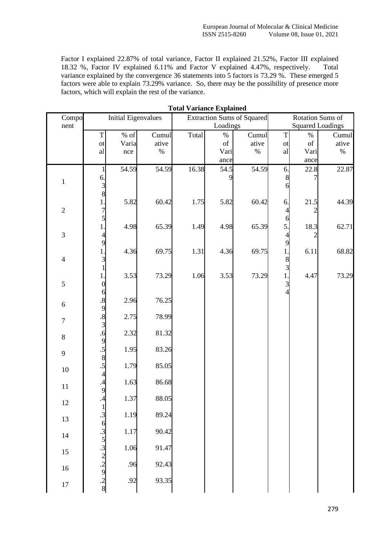Factor I explained 22.87% of total variance, Factor II explained 21.52%, Factor III explained 18.32 %, Factor IV explained 6.11% and Factor V explained 4.47%, respectively. Total variance explained by the convergence 36 statements into 5 factors is 73.29 %. These emerged 5 factors were able to explain 73.29% variance. So, there may be the possibility of presence more factors, which will explain the rest of the variance.

| Compo            |                                                       | <b>Initial Eigenvalues</b> |       | товаг у агнансе плрнание |                                                                                                    | <b>Extraction Sums of Squared</b> |                | Rotation Sums of        |       |
|------------------|-------------------------------------------------------|----------------------------|-------|--------------------------|----------------------------------------------------------------------------------------------------|-----------------------------------|----------------|-------------------------|-------|
| nent             |                                                       |                            |       |                          | Loadings                                                                                           |                                   |                | <b>Squared Loadings</b> |       |
|                  | T                                                     | $\%$ of                    | Cumul | Total                    | $\%$                                                                                               | Cumul                             | $\mathbf T$    | $\%$                    | Cumul |
|                  | ot                                                    | Varia                      | ative |                          | $% \left( \left( \mathcal{A},\mathcal{A}\right) \right) =\left( \mathcal{A},\mathcal{A}\right)$ of | ative                             | ot             | of                      | ative |
|                  | al                                                    | nce                        | $\%$  |                          | Vari                                                                                               | $\%$                              | al             | Vari                    | $\%$  |
|                  |                                                       |                            |       |                          | ance                                                                                               |                                   |                | ance                    |       |
|                  |                                                       | 54.59                      | 54.59 | 16.38                    | 54.5                                                                                               | 54.59                             | 6.             | 22.8                    | 22.87 |
| $\,1$            | 6                                                     |                            |       |                          |                                                                                                    |                                   | 8              |                         |       |
|                  | 8                                                     |                            |       |                          |                                                                                                    |                                   | 6              |                         |       |
|                  | 1                                                     | 5.82                       | 60.42 | 1.75                     | 5.82                                                                                               | 60.42                             | 6.             | 21.5                    | 44.39 |
| $\overline{2}$   |                                                       |                            |       |                          |                                                                                                    |                                   | 4              |                         |       |
|                  |                                                       |                            |       |                          |                                                                                                    |                                   | 6              |                         |       |
|                  |                                                       | 4.98                       | 65.39 | 1.49                     | 4.98                                                                                               | 65.39                             | 5.             | 18.3                    | 62.71 |
| $\mathfrak{Z}$   |                                                       |                            |       |                          |                                                                                                    |                                   | $\overline{4}$ |                         |       |
|                  | 9                                                     | 4.36                       | 69.75 | 1.31                     | 4.36                                                                                               | 69.75                             | 9<br>1.        | 6.11                    | 68.82 |
| $\overline{4}$   |                                                       |                            |       |                          |                                                                                                    |                                   | 8              |                         |       |
|                  |                                                       |                            |       |                          |                                                                                                    |                                   | 3              |                         |       |
|                  |                                                       | 3.53                       | 73.29 | 1.06                     | 3.53                                                                                               | 73.29                             | 1.             | 4.47                    | 73.29 |
| $\mathfrak s$    |                                                       |                            |       |                          |                                                                                                    |                                   | $\overline{3}$ |                         |       |
|                  | 6                                                     |                            |       |                          |                                                                                                    |                                   | $\overline{4}$ |                         |       |
| $\sqrt{6}$       | $\cdot$ <sup>8</sup> .                                | 2.96                       | 76.25 |                          |                                                                                                    |                                   |                |                         |       |
|                  | $\frac{9}{8}$                                         | 2.75                       | 78.99 |                          |                                                                                                    |                                   |                |                         |       |
| $\boldsymbol{7}$ | $\overline{3}$                                        |                            |       |                          |                                                                                                    |                                   |                |                         |       |
| $8\,$            | .6                                                    | 2.32                       | 81.32 |                          |                                                                                                    |                                   |                |                         |       |
|                  | 9                                                     |                            |       |                          |                                                                                                    |                                   |                |                         |       |
| 9                | $\overline{.5}$                                       | 1.95                       | 83.26 |                          |                                                                                                    |                                   |                |                         |       |
|                  | 8<br>.5                                               | 1.79                       | 85.05 |                          |                                                                                                    |                                   |                |                         |       |
| 10               | $\overline{4}$                                        |                            |       |                          |                                                                                                    |                                   |                |                         |       |
|                  | $\overline{a}$                                        | 1.63                       | 86.68 |                          |                                                                                                    |                                   |                |                         |       |
| $11\,$           | 9                                                     |                            |       |                          |                                                                                                    |                                   |                |                         |       |
| 12               | $\overline{\Lambda}$                                  | 1.37                       | 88.05 |                          |                                                                                                    |                                   |                |                         |       |
|                  | $\mathbf{1}$                                          |                            | 89.24 |                          |                                                                                                    |                                   |                |                         |       |
| 13               | $\cdot$ 3<br>6                                        | 1.19                       |       |                          |                                                                                                    |                                   |                |                         |       |
|                  |                                                       | 1.17                       | 90.42 |                          |                                                                                                    |                                   |                |                         |       |
| $14\,$           |                                                       |                            |       |                          |                                                                                                    |                                   |                |                         |       |
| 15               |                                                       | 1.06                       | 91.47 |                          |                                                                                                    |                                   |                |                         |       |
|                  |                                                       |                            |       |                          |                                                                                                    |                                   |                |                         |       |
| $16\,$           |                                                       | .96                        | 92.43 |                          |                                                                                                    |                                   |                |                         |       |
|                  |                                                       | .92                        | 93.35 |                          |                                                                                                    |                                   |                |                         |       |
| 17               | $\frac{3}{5}$<br>3<br>2<br>2<br>2<br>3<br>3<br>3<br>3 |                            |       |                          |                                                                                                    |                                   |                |                         |       |

**Total Variance Explained**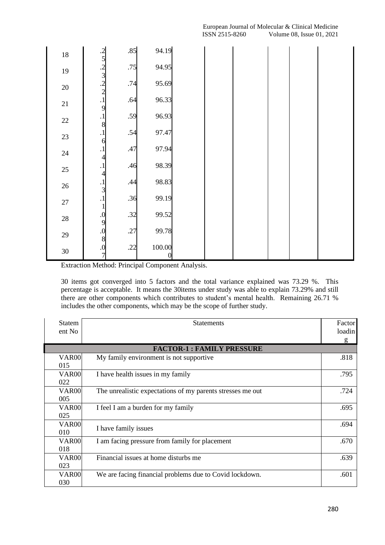| $18\,$ |                                                                                                                                                | .85 | 94.19       |  |  |  |
|--------|------------------------------------------------------------------------------------------------------------------------------------------------|-----|-------------|--|--|--|
| $19\,$ |                                                                                                                                                | .75 | 94.95       |  |  |  |
| $20\,$ |                                                                                                                                                | .74 | 95.69       |  |  |  |
| $21\,$ |                                                                                                                                                | .64 | 96.33       |  |  |  |
| $22\,$ | $\begin{array}{@{}c@{\hspace{1em}}c@{\hspace{1em}}c@{\hspace{1em}}}\n 2 & 5 \\ 5 & 2 & 3 \\ 2 & 1 & 2 \\ 1 & 9 & 1 \\ 8 & 1 & 8\n \end{array}$ | .59 | 96.93       |  |  |  |
| 23     | $\overline{.1}$                                                                                                                                | .54 | 97.47       |  |  |  |
| 24     | 6<br>$\cdot$ <sup>1</sup>                                                                                                                      | .47 | 97.94       |  |  |  |
| 25     | $\overline{4}$<br>$\cdot$ <sup>1</sup>                                                                                                         | .46 | 98.39       |  |  |  |
| $26\,$ | $\overline{\mathcal{A}}$                                                                                                                       | .44 | 98.83       |  |  |  |
| $27\,$ | $\begin{array}{c} .1 \\ 3 \\ .1 \end{array}$                                                                                                   | .36 | 99.19       |  |  |  |
| $28\,$ | $\mathbf{1}$                                                                                                                                   | .32 | 99.52       |  |  |  |
| 29     |                                                                                                                                                | .27 | 99.78       |  |  |  |
| $30\,$ | 0<br>9<br>0<br>8<br>0<br>7<br>7                                                                                                                | .22 | 100.00<br>0 |  |  |  |

Extraction Method: Principal Component Analysis.

30 items got converged into 5 factors and the total variance explained was 73.29 %. This percentage is acceptable. It means the 30items under study was able to explain 73.29% and still there are other components which contributes to student's mental health. Remaining 26.71 % includes the other components, which may be the scope of further study.

| Statem<br>ent No         | <b>Statements</b>                                          | Factor<br>loadin<br>g |
|--------------------------|------------------------------------------------------------|-----------------------|
|                          | <b>FACTOR-1: FAMILY PRESSURE</b>                           |                       |
| <b>VAR00</b><br>015      | My family environment is not supportive                    | .818                  |
| VAR <sub>00</sub><br>022 | I have health issues in my family                          | .795                  |
| VAR <sub>00</sub><br>005 | The unrealistic expectations of my parents stresses me out | .724                  |
| <b>VAR00</b><br>025      | I feel I am a burden for my family                         | .695                  |
| VAR <sub>00</sub><br>010 | I have family issues                                       | .694                  |
| VAR <sub>00</sub><br>018 | I am facing pressure from family for placement             | .670                  |
| VAR <sub>00</sub><br>023 | Financial issues at home disturbs me                       | .639                  |
| VAR <sub>00</sub><br>030 | We are facing financial problems due to Covid lockdown.    | .601                  |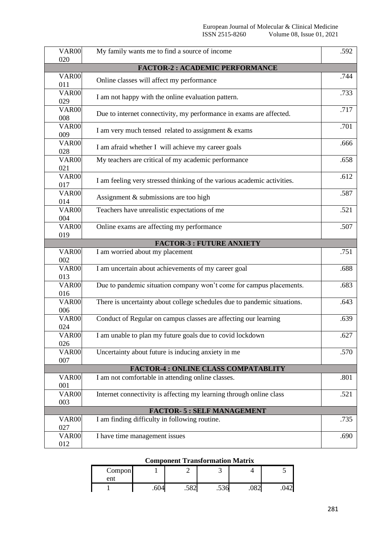| <b>VAR00</b>      | My family wants me to find a source of income                            | .592 |
|-------------------|--------------------------------------------------------------------------|------|
| 020               |                                                                          |      |
|                   | <b>FACTOR-2: ACADEMIC PERFORMANCE</b>                                    |      |
| <b>VAR00</b>      | Online classes will affect my performance                                | .744 |
| 011               |                                                                          |      |
| <b>VAR00</b>      | I am not happy with the online evaluation pattern.                       | .733 |
| 029               |                                                                          |      |
| <b>VAR00</b>      | Due to internet connectivity, my performance in exams are affected.      | .717 |
| 008               |                                                                          |      |
| <b>VAR00</b>      | I am very much tensed related to assignment & exams                      | .701 |
| 009               |                                                                          |      |
| <b>VAR00</b>      |                                                                          | .666 |
| 028               | I am afraid whether I will achieve my career goals                       |      |
| <b>VAR00</b>      | My teachers are critical of my academic performance                      | .658 |
| 021               |                                                                          |      |
| <b>VAR00</b>      |                                                                          | .612 |
| 017               | I am feeling very stressed thinking of the various academic activities.  |      |
| VAR00             |                                                                          | .587 |
| 014               | Assignment & submissions are too high                                    |      |
| <b>VAR00</b>      | Teachers have unrealistic expectations of me                             | .521 |
| 004               |                                                                          |      |
| <b>VAR00</b>      | Online exams are affecting my performance                                | .507 |
| 019               |                                                                          |      |
|                   | <b>FACTOR-3: FUTURE ANXIETY</b>                                          |      |
| <b>VAR00</b>      | I am worried about my placement                                          | .751 |
| 002               |                                                                          |      |
| <b>VAR00</b>      | I am uncertain about achievements of my career goal                      | .688 |
| 013               |                                                                          |      |
| <b>VAR00</b>      | Due to pandemic situation company won't come for campus placements.      | .683 |
| 016               |                                                                          |      |
| <b>VAR00</b>      | There is uncertainty about college schedules due to pandemic situations. | .643 |
| 006               |                                                                          |      |
| VAR00             | Conduct of Regular on campus classes are affecting our learning          | .639 |
| 024               |                                                                          |      |
| <b>VAR00</b>      | I am unable to plan my future goals due to covid lockdown                | .627 |
| 026               |                                                                          |      |
| VAR <sub>00</sub> | Uncertainty about future is inducing anxiety in me                       | .570 |
| 007               |                                                                          |      |
|                   | <b>FACTOR-4: ONLINE CLASS COMPATABLITY</b>                               |      |
| <b>VAR00</b>      | I am not comfortable in attending online classes.                        | .801 |
| 001               |                                                                          |      |
| <b>VAR00</b>      | Internet connectivity is affecting my learning through online class      | .521 |
| 003               |                                                                          |      |
|                   |                                                                          |      |
|                   | FACTOR- 5 : SELF MANAGEMENT                                              |      |
| <b>VAR00</b>      | I am finding difficulty in following routine.                            | .735 |
| 027               |                                                                          |      |
| <b>VAR00</b>      | I have time management issues                                            | .690 |
| 012               |                                                                          |      |

# **Component Transformation Matrix**

| Compon<br>ent |      |           |        |             |     |
|---------------|------|-----------|--------|-------------|-----|
|               | .604 | =റെ<br>⊿ں | $\sim$ | ۱Ω٠<br>Jo∠. | ∪−∠ |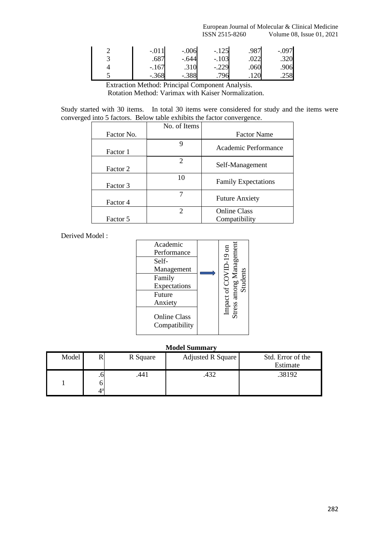| $-.011$ | $-.006$ | $-.125$ | .987 | $-.097$ |
|---------|---------|---------|------|---------|
| .687    | -.644   | $-.103$ | .022 | .320    |
| $-.167$ |         | $-.229$ | .060 | .906    |
| $-.368$ | $-.388$ | 706     |      | .258    |

Extraction Method: Principal Component Analysis.

Rotation Method: Varimax with Kaiser Normalization.

Study started with 30 items. In total 30 items were considered for study and the items were converged into 5 factors. Below table exhibits the factor convergence.

|            | No. of Items                |                            |
|------------|-----------------------------|----------------------------|
| Factor No. |                             | <b>Factor Name</b>         |
| Factor 1   | 9                           | Academic Performance       |
| Factor 2   | $\mathfrak{D}$              | Self-Management            |
| Factor 3   | 10                          | <b>Family Expectations</b> |
| Factor 4   |                             | <b>Future Anxiety</b>      |
|            | $\mathcal{D}_{\mathcal{L}}$ | <b>Online Class</b>        |
| Factor 5   |                             | Compatibility              |

Derived Model :

| Academic<br>Performance              | <i>Aanagemen</i>                    |
|--------------------------------------|-------------------------------------|
| Self-<br>Management                  | $\overline{CD}$ -19 $\overline{on}$ |
| Family<br>Expectations               | Šŭ                                  |
| Future<br>Anxiety                    | Stress among<br>mpact of            |
| <b>Online Class</b><br>Compatibility |                                     |

#### **Model Summary**

| Model | R Square | Adjusted R Square | Std. Error of the |
|-------|----------|-------------------|-------------------|
|       |          |                   | Estimate          |
|       | 441      | .432              | .38192            |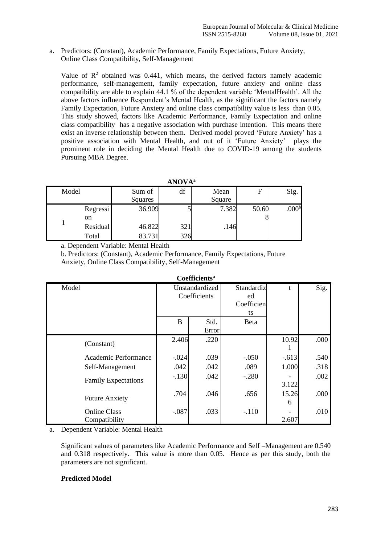a. Predictors: (Constant), Academic Performance, Family Expectations, Future Anxiety, Online Class Compatibility, Self-Management

Value of  $\mathbb{R}^2$  obtained was 0.441, which means, the derived factors namely academic performance, self-management, family expectation, future anxiety and online class compatibility are able to explain 44.1 % of the dependent variable 'MentalHealth'. All the above factors influence Respondent's Mental Health, as the significant the factors namely Family Expectation, Future Anxiety and online class compatibility value is less than 0.05. This study showed, factors like Academic Performance, Family Expectation and online class compatibility has a negative association with purchase intention. This means there exist an inverse relationship between them. Derived model proved 'Future Anxiety' has a positive association with Mental Health, and out of it 'Future Anxiety' plays the prominent role in deciding the Mental Health due to COVID-19 among the students Pursuing MBA Degree.

| <b>ANOVA</b> <sup>a</sup> |          |         |     |        |       |                   |  |  |  |  |
|---------------------------|----------|---------|-----|--------|-------|-------------------|--|--|--|--|
| Model                     |          | Sum of  | df  | Mean   | F     | Sig.              |  |  |  |  |
|                           |          | Squares |     | Square |       |                   |  |  |  |  |
|                           | Regressi | 36.909  |     | 7.382  | 50.60 | .000 <sup>b</sup> |  |  |  |  |
|                           | on       |         |     |        |       |                   |  |  |  |  |
|                           | Residual | 46.822  | 321 | .146   |       |                   |  |  |  |  |
|                           | Total    | 83.731  | 326 |        |       |                   |  |  |  |  |

a. Dependent Variable: Mental Health

b. Predictors: (Constant), Academic Performance, Family Expectations, Future Anxiety, Online Class Compatibility, Self-Management

| <b>Coefficients<sup>a</sup></b>      |                                |               |                                      |            |      |  |  |  |  |
|--------------------------------------|--------------------------------|---------------|--------------------------------------|------------|------|--|--|--|--|
| Model                                | Unstandardized<br>Coefficients |               | Standardiz<br>ed<br>Coefficien<br>ts | t          | Sig. |  |  |  |  |
|                                      | B                              | Std.<br>Error | <b>B</b> eta                         |            |      |  |  |  |  |
| (Constant)                           | 2.406                          | .220          |                                      | 10.92      | .000 |  |  |  |  |
| Academic Performance                 | $-.024$                        | .039          | $-.050$                              | $-.613$    | .540 |  |  |  |  |
| Self-Management                      | .042                           | .042          | .089                                 | 1.000      | .318 |  |  |  |  |
| <b>Family Expectations</b>           | $-.130$                        | .042          | $-.280$                              | 3.122      | .002 |  |  |  |  |
| <b>Future Anxiety</b>                | .704                           | .046          | .656                                 | 15.26<br>6 | .000 |  |  |  |  |
| <b>Online Class</b><br>Compatibility | $-.087$                        | .033          | $-.110$                              | 2.607      | .010 |  |  |  |  |

a. Dependent Variable: Mental Health

Significant values of parameters like Academic Performance and Self –Management are 0.540 and 0.318 respectively. This value is more than 0.05. Hence as per this study, both the parameters are not significant.

## **Predicted Model**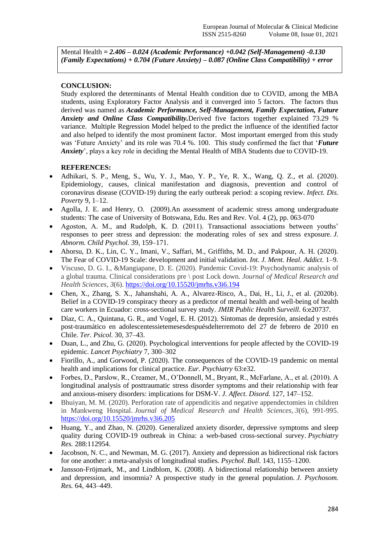Mental Health *= 2.406 – 0.024 (Academic Performance) +0.042 (Self-Management) -0.130 (Family Expectations) + 0.704 (Future Anxiety) – 0.087 (Online Class Compatibility) + error*

# **CONCLUSION:**

Study explored the determinants of Mental Health condition due to COVID, among the MBA students, using Exploratory Factor Analysis and it converged into 5 factors. The factors thus derived was named as *Academic Performance, Self-Management, Family Expectation, Future Anxiety and Online Class Compatibility.*Derived five factors together explained 73.29 % variance. Multiple Regression Model helped to the predict the influence of the identified factor and also helped to identify the most prominent factor. Most important emerged from this study was 'Future Anxiety' and its role was 70.4 %. 100. This study confirmed the fact that '*Future Anxiety*', plays a key role in deciding the Mental Health of MBA Students due to COVID-19.

# **REFERENCES:**

- Adhikari, S. P., Meng, S., Wu, Y. J., Mao, Y. P., Ye, R. X., Wang, Q. Z., et al. (2020). Epidemiology, causes, clinical manifestation and diagnosis, prevention and control of coronavirus disease (COVID-19) during the early outbreak period: a scoping review. *Infect. Dis. Poverty* 9, 1–12.
- Agolla, J. E. and Henry, O. (2009).An assessment of academic stress among undergraduate students: The case of University of Botswana, Edu. Res and Rev. Vol. 4 (2), pp. 063-070
- Agoston, A. M., and Rudolph, K. D. (2011). Transactional associations between youths' responses to peer stress and depression: the moderating roles of sex and stress exposure. *J. Abnorm. Child Psychol.* 39, 159–171.
- Ahorsu, D. K., Lin, C. Y., Imani, V., Saffari, M., Griffiths, M. D., and Pakpour, A. H. (2020). The Fear of COVID-19 Scale: development and initial validation. *Int. J. Ment. Heal. Addict.* 1–9.
- Viscuso, D. G. I., &Mangiapane, D. E. (2020). Pandemic Covid-19: Psychodynamic analysis of a global trauma. Clinical considerations pre \ post Lock down. *Journal of Medical Research and Health Sciences*, *3*(6).<https://doi.org/10.15520/jmrhs.v3i6.194>
- Chen, X., Zhang, S. X., Jahanshahi, A. A., Alvarez-Risco, A., Dai, H., Li, J., et al. (2020b). Belief in a COVID-19 conspiracy theory as a predictor of mental health and well-being of health care workers in Ecuador: cross-sectional survey study. *JMIR Public Health Surveill.* 6:e20737.
- Díaz, C. A., Quintana, G. R., and Vogel, E. H. (2012). Síntomas de depresión, ansiedad y estrés post-traumático en adolescentessietemesesdespuésdelterremoto del 27 de febrero de 2010 en Chile. *Ter. Psicol.* 30, 37–43.
- Duan, L., and Zhu, G. (2020). Psychological interventions for people affected by the COVID-19 epidemic. *Lancet Psychiatry* 7, 300–302
- Fiorillo, A., and Gorwood, P. (2020). The consequences of the COVID-19 pandemic on mental health and implications for clinical practice. *Eur. Psychiatry* 63:e32.
- Forbes, D., Parslow, R., Creamer, M., O'Donnell, M., Bryant, R., McFarlane, A., et al. (2010). A longitudinal analysis of posttraumatic stress disorder symptoms and their relationship with fear and anxious-misery disorders: implications for DSM-V. *J. Affect. Disord.* 127, 147–152.
- Bhuiyan, M. M. (2020). Perforation rate of appendicitis and negative appendectomies in children in Mankweng Hospital. *Journal of Medical Research and Health Sciences*, *3*(6), 991-995. <https://doi.org/10.15520/jmrhs.v3i6.205>
- Huang, Y., and Zhao, N. (2020). Generalized anxiety disorder, depressive symptoms and sleep quality during COVID-19 outbreak in China: a web-based cross-sectional survey. *Psychiatry Res.* 288:112954.
- Jacobson, N. C., and Newman, M. G. (2017). Anxiety and depression as bidirectional risk factors for one another: a meta-analysis of longitudinal studies. *Psychol. Bull.* 143, 1155–1200.
- Jansson-Fröjmark, M., and Lindblom, K. (2008). A bidirectional relationship between anxiety and depression, and insomnia? A prospective study in the general population. *J. Psychosom. Res.* 64, 443–449.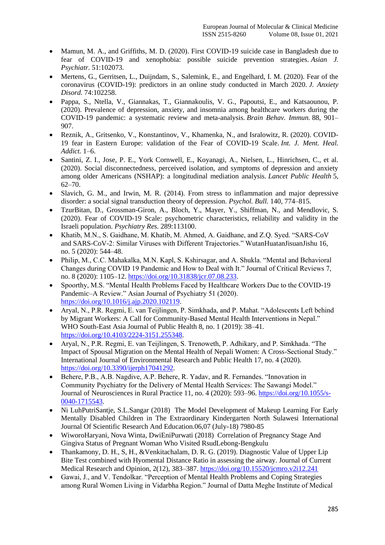- Mamun, M. A., and Griffiths, M. D. (2020). First COVID-19 suicide case in Bangladesh due to fear of COVID-19 and xenophobia: possible suicide prevention strategies. *Asian J. Psychiatr.* 51:102073.
- Mertens, G., Gerritsen, L., Duijndam, S., Salemink, E., and Engelhard, I. M. (2020). Fear of the coronavirus (COVID-19): predictors in an online study conducted in March 2020. *J. Anxiety Disord.* 74:102258.
- Pappa, S., Ntella, V., Giannakas, T., Giannakoulis, V. G., Papoutsi, E., and Katsaounou, P. (2020). Prevalence of depression, anxiety, and insomnia among healthcare workers during the COVID-19 pandemic: a systematic review and meta-analysis. *Brain Behav. Immun.* 88, 901– 907.
- Reznik, A., Gritsenko, V., Konstantinov, V., Khamenka, N., and Isralowitz, R. (2020). COVID-19 fear in Eastern Europe: validation of the Fear of COVID-19 Scale. *Int. J. Ment. Heal. Addict.* 1–6.
- Santini, Z. I., Jose, P. E., York Cornwell, E., Koyanagi, A., Nielsen, L., Hinrichsen, C., et al. (2020). Social disconnectedness, perceived isolation, and symptoms of depression and anxiety among older Americans (NSHAP): a longitudinal mediation analysis. *Lancet Public Health* 5, 62–70.
- Slavich, G. M., and Irwin, M. R. (2014). From stress to inflammation and major depressive disorder: a social signal transduction theory of depression. *Psychol. Bull.* 140, 774–815.
- TzurBitan, D., Grossman-Giron, A., Bloch, Y., Mayer, Y., Shiffman, N., and Mendlovic, S. (2020). Fear of COVID-19 Scale: psychometric characteristics, reliability and validity in the Israeli population. *Psychiatry Res.* 289:113100.
- Khatib, M.N., S. Gaidhane, M. Khatib, M. Ahmed, A. Gaidhane, and Z.Q. Syed. "SARS-CoV and SARS-CoV-2: Similar Viruses with Different Trajectories." WutanHuatanJisuanJishu 16, no. 5 (2020): 544–48.
- Philip, M., C.C. Mahakalka, M.N. Kapl, S. Kshirsagar, and A. Shukla. "Mental and Behavioral Changes during COVID 19 Pandemic and How to Deal with It." Journal of Critical Reviews 7, no. 8 (2020): 1105–12. [https://doi.org/10.31838/jcr.07.08.233.](https://doi.org/10.31838/jcr.07.08.233)
- Spoorthy, M.S. "Mental Health Problems Faced by Healthcare Workers Due to the COVID-19 Pandemic–A Review." Asian Journal of Psychiatry 51 (2020). [https://doi.org/10.1016/j.ajp.2020.102119.](https://doi.org/10.1016/j.ajp.2020.102119)
- Aryal, N., P.R. Regmi, E. van Teijlingen, P. Simkhada, and P. Mahat. "Adolescents Left behind by Migrant Workers: A Call for Community-Based Mental Health Interventions in Nepal." WHO South-East Asia Journal of Public Health 8, no. 1 (2019): 38–41. [https://doi.org/10.4103/2224-3151.255348.](https://doi.org/10.4103/2224-3151.255348)
- Aryal, N., P.R. Regmi, E. van Teijlingen, S. Trenoweth, P. Adhikary, and P. Simkhada. "The Impact of Spousal Migration on the Mental Health of Nepali Women: A Cross-Sectional Study." International Journal of Environmental Research and Public Health 17, no. 4 (2020). [https://doi.org/10.3390/ijerph17041292.](https://doi.org/10.3390/ijerph17041292)
- Behere, P.B., A.B. Nagdive, A.P. Behere, R. Yadav, and R. Fernandes. "Innovation in Community Psychiatry for the Delivery of Mental Health Services: The Sawangi Model." Journal of Neurosciences in Rural Practice 11, no. 4 (2020): 593–96. [https://doi.org/10.1055/s-](https://doi.org/10.1055/s-0040-1715543)[0040-1715543.](https://doi.org/10.1055/s-0040-1715543)
- Ni LuhPutriSantje, S.L.Sangar (2018) The Model Development of Makeup Learning For Early Mentally Disabled Children in The Extraordinary Kindergarten North Sulawesi International Journal Of Scientific Research And Education.06,07 (July-18) 7980-85
- WiworoHaryani, Nova Winta, DwiEniPurwati (2018) Correlation of Pregnancy Stage And Gingiva Status of Pregnant Woman Who Visited RsudLebong-Bengkulu
- Thankamony, D. H., S, H., &Venkitachalam, D. R. G. (2019). Diagnostic Value of Upper Lip Bite Test combined with Hyomental Distance Ratio in assessing the airway. Journal of Current Medical Research and Opinion, 2(12), 383–387[. https://doi.org/10.15520/jcmro.v2i12.241](https://doi.org/10.15520/jcmro.v2i12.241)
- Gawai, J., and V. Tendolkar. "Perception of Mental Health Problems and Coping Strategies among Rural Women Living in Vidarbha Region." Journal of Datta Meghe Institute of Medical